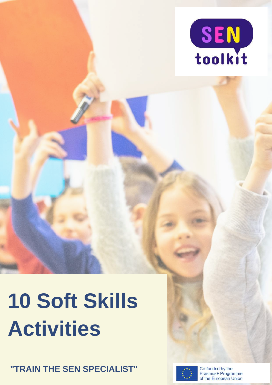

# **10 Soft Skills Activities**

**"TRAIN THE SEN SPECIALIST"**



Co-funded by the Erasmus+ Programme of the European Union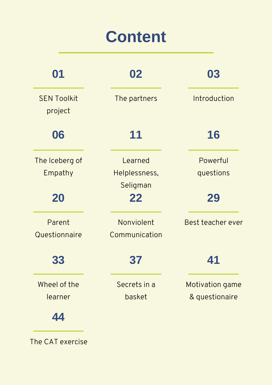### **Content**

| 01                            | 02            | 03                     |
|-------------------------------|---------------|------------------------|
| <b>SEN Toolkit</b><br>project | The partners  | Introduction           |
| 06                            | 11            | 16                     |
| The Iceberg of                | Learned       | Powerful               |
| Empathy                       | Helplessness, | questions              |
|                               | Seligman      |                        |
| 20                            | 22            | 29                     |
| Parent                        | Nonviolent    | Best teacher ever      |
| Questionnaire                 | Communication |                        |
| 33                            | 37            |                        |
| Wheel of the                  | Secrets in a  | <b>Motivation game</b> |
| learner                       | basket        | & questionaire         |
| 44                            |               |                        |

The CAT exercise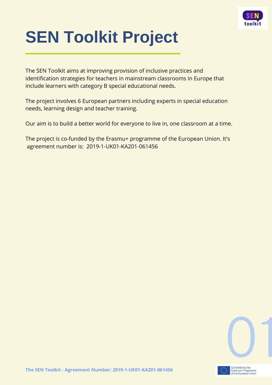

## **SEN Toolkit Project**

The SEN Toolkit aims at improving provision of inclusive practices and identification strategies for teachers in mainstream classrooms in Europe that include learners with category B special educational needs.

The project involves 6 European [partners](https://sentoolkit.com/partners) including experts in special education needs, learning design and teacher training.

Our aim is to build a better world for everyone to live in, one classroom at a time.

The project is co-funded by the Erasmu+ programme of the European Union. It's agreement number is: 2019-1-UK01-KA201-061456



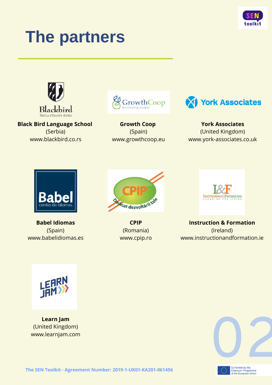

### **The partners**



**Black Bird Language School** (Serbia) www.blackbird.co.rs



**Growth Coop** (Spain) www.growthcoop.eu



**York Associates** (United Kingdom) www.york-associates.co.uk



**Babel Idiomas** (Spain) www.babelidiomas.es



**CPIP** (Romania) www.cpip.ro



**Instruction & Formation** (Ireland) www.instructionandformation.ie



**Learn Jam** (United Kingdom) www.learnjam.com



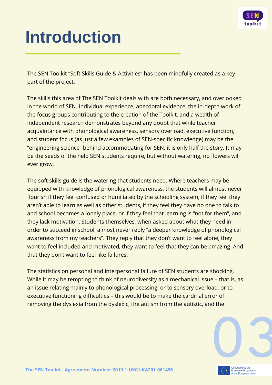

## **Introduction**

The SEN Toolkit "Soft Skills Guide & Activities" has been mindfully created as a key part of the project.

The skills this area of The SEN Toolkit deals with are both necessary, and overlooked in the world of SEN. Individual experience, anecdotal evidence, the in-depth work of the focus groups contributing to the creation of the Toolkit, and a wealth of independent research demonstrates beyond any doubt that while teacher acquaintance with phonological awareness, sensory overload, executive function, and student focus (as just a few examples of SEN-specific knowledge) may be the "engineering science" behind accommodating for SEN, it is only half the story. It may be the seeds of the help SEN students require, but without watering, no flowers will ever grow.

The soft skills guide is the watering that students need. Where teachers may be equipped with knowledge of phonological awareness, the students will almost never flourish if they feel confused or humiliated by the schooling system, if they feel they aren't able to learn as well as other students, if they feel they have no one to talk to and school becomes a lonely place, or if they feel that learning is "not for them", and they lack motivation. Students themselves, when asked about what they need in order to succeed in school, almost never reply "a deeper knowledge of phonological awareness from my teachers". They reply that they don't want to feel alone, they want to feel included and motivated, they want to feel that they can be amazing. And that they don't want to feel like failures.

The statistics on personal and interpersonal failure of SEN students are shocking. While it may be tempting to think of neurodiversity as a mechanical issue – that is, as an issue relating mainly to phonological processing, or to sensory overload, or to executive functioning difficulties – this would be to make the cardinal error of removing the dyslexia from the dyslexic, the autism from the autistic, and the



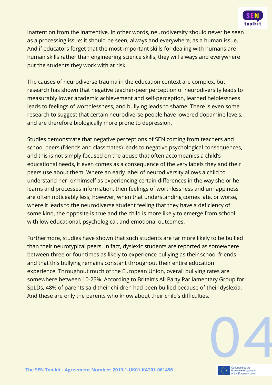

inattention from the inattentive. In other words, neurodiversity should never be seen as a processing issue: it should be seen, always and everywhere, as a human issue. And if educators forget that the most important skills for dealing with humans are human skills rather than engineering science skills, they will always and everywhere put the students they work with at risk.

The causes of neurodiverse trauma in the education context are complex, but research has shown that negative teacher-peer perception of neurodiversity leads to measurably lower academic achievement and self-perception, learned helplessness leads to feelings of worthlessness, and bullying leads to shame. There is even some research to suggest that certain neurodiverse people have lowered dopamine levels, and are therefore biologically more prone to depression.

Studies demonstrate that negative perceptions of SEN coming from teachers and school peers (friends and classmates) leads to negative psychological consequences, and this is not simply focused on the abuse that often accompanies a child's educational needs, it even comes as a consequence of the very labels they and their peers use about them. Where an early label of neurodiversity allows a child to understand her- or himself as experiencing certain differences in the way she or he learns and processes information, then feelings of worthlessness and unhappiness are often noticeably less; however, when that understanding comes late, or worse, where it leads to the neurodiverse student feeling that they have a deficiency of some kind, the opposite is true and the child is more likely to emerge from school with low educational, psychological, and emotional outcomes.

Furthermore, studies have shown that such students are far more likely to be bullied than their neurotypical peers. In fact, dyslexic students are reported as somewhere between three or four times as likely to experience bullying as their school friends – and that this bullying remains constant throughout their entire education experience. Throughout much of the European Union, overall bullying rates are somewhere between 10-25%. According to Britain's All Party Parliamentary Group for SpLDs, 48% of parents said their children had been bullied because of their dyslexia. And these are only the parents who know about their child's difficulties.

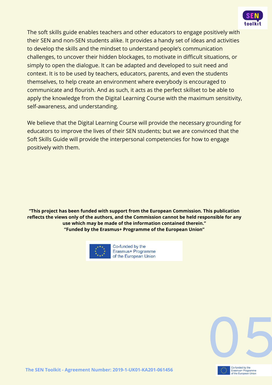

The soft skills guide enables teachers and other educators to engage positively with their SEN and non-SEN students alike. It provides a handy set of ideas and activities to develop the skills and the mindset to understand people's communication challenges, to uncover their hidden blockages, to motivate in difficult situations, or simply to open the dialogue. It can be adapted and developed to suit need and context. It is to be used by teachers, educators, parents, and even the students themselves, to help create an environment where everybody is encouraged to communicate and flourish. And as such, it acts as the perfect skillset to be able to apply the knowledge from the Digital Learning Course with the maximum sensitivity, self-awareness, and understanding.

We believe that the Digital Learning Course will provide the necessary grounding for educators to improve the lives of their SEN students; but we are convinced that the Soft Skills Guide will provide the interpersonal competencies for how to engage positively with them.

**"This project has been funded with support from the European Commission. This publication reflects the views only of the authors, and the Commission cannot be held responsible for any use which may be made of the information contained therein." "Funded by the Erasmus+ Programme of the European Union"**



Co-funded by the Erasmus+ Programme of the European Union

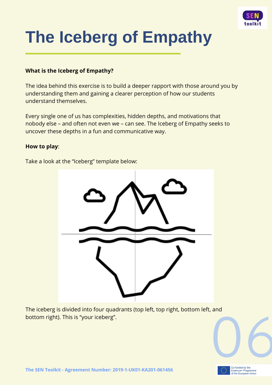

## **The Iceberg of Empathy**

#### **What is the Iceberg of Empathy?**

The idea behind this exercise is to build a deeper rapport with those around you by understanding them and gaining a clearer perception of how our students understand themselves.

Every single one of us has complexities, hidden depths, and motivations that nobody else – and often not even we – can see. The Iceberg of Empathy seeks to uncover these depths in a fun and communicative way.

#### **How to play**:

Take a look at the "Iceberg" template below:



The iceberg is divided into four quadrants (top left, top right, bottom left, and bottom right). This is "your iceberg".



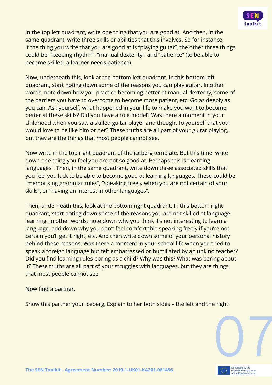

In the top left quadrant, write one thing that you are good at. And then, in the same quadrant, write three skills or abilities that this involves. So for instance, if the thing you write that you are good at is "playing guitar", the other three things could be: "keeping rhythm", "manual dexterity", and "patience" (to be able to become skilled, a learner needs patience).

Now, underneath this, look at the bottom left quadrant. In this bottom left quadrant, start noting down some of the reasons you can play guitar. In other words, note down how you practice becoming better at manual dexterity, some of the barriers you have to overcome to become more patient, etc. Go as deeply as you can. Ask yourself, what happened in your life to make you want to become better at these skills? Did you have a role model? Was there a moment in your childhood when you saw a skilled guitar player and thought to yourself that you would love to be like him or her? These truths are all part of your guitar playing, but they are the things that most people cannot see.

Now write in the top right quadrant of the iceberg template. But this time, write down one thing you feel you are not so good at. Perhaps this is "learning languages". Then, in the same quadrant, write down three associated skills that you feel you lack to be able to become good at learning languages. These could be: "memorising grammar rules", "speaking freely when you are not certain of your skills", or "having an interest in other languages".

Then, underneath this, look at the bottom right quadrant. In this bottom right quadrant, start noting down some of the reasons you are not skilled at language learning. In other words, note down why you think it's not interesting to learn a language, add down why you don't feel comfortable speaking freely if you're not certain you'll get it right, etc. And then write down some of your personal history behind these reasons. Was there a moment in your school life when you tried to speak a foreign language but felt embarrassed or humiliated by an unkind teacher? Did you find learning rules boring as a child? Why was this? What was boring about it? These truths are all part of your struggles with languages, but they are things that most people cannot see.

Now find a partner.

Show this partner your iceberg. Explain to her both sides – the left and the right



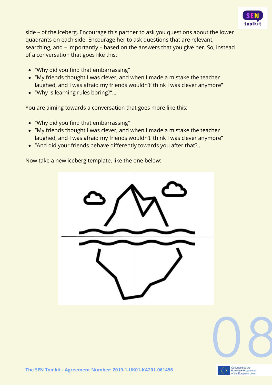

side – of the iceberg. Encourage this partner to ask you questions about the lower quadrants on each side. Encourage her to ask questions that are relevant, searching, and – importantly – based on the answers that you give her. So, instead of a conversation that goes like this:

- "Why did you find that embarrassing"
- "My friends thought I was clever, and when I made a mistake the teacher laughed, and I was afraid my friends wouldn't' think I was clever anymore"
- "Why is learning rules boring?"…

You are aiming towards a conversation that goes more like this:

- "Why did you find that embarrassing"
- "My friends thought I was clever, and when I made a mistake the teacher laughed, and I was afraid my friends wouldn't' think I was clever anymore"
- "And did your friends behave differently towards you after that?...

Now take a new iceberg template, like the one below:





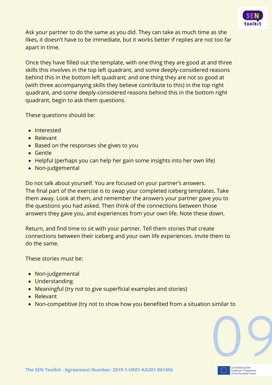

Ask your partner to do the same as you did. They can take as much time as she likes, it doesn't have to be immediate, but it works better if replies are not too far apart in time.

Once they have filled out the template, with one thing they are good at and three skills this involves in the top left quadrant, and some deeply-considered reasons behind this in the bottom left quadrant; and one thing they are not so good at (with three accompanying skills they believe contribute to this) in the top right quadrant, and some deeply-considered reasons behind this in the bottom right quadrant, begin to ask them questions.

These questions should be:

- Interested
- Relevant
- Based on the responses she gives to you
- Gentle
- Helpful (perhaps you can help her gain some insights into her own life)
- Non-judgemental

Do not talk about yourself. You are focused on your partner's answers. The final part of the exercise is to swap your completed iceberg templates. Take them away. Look at them, and remember the answers your partner gave you to the questions you had asked. Then think of the connections between those answers they gave you, and experiences from your own life. Note these down.

Return, and find time to sit with your partner. Tell them stories that create connections between their iceberg and your own life experiences. Invite them to do the same.

These stories must be:

- Non-judgemental
- Understanding
- Meaningful (try not to give superficial examples and stories)
- Relevant
- Non-competitive (try not to show how you benefited from a situation similar to



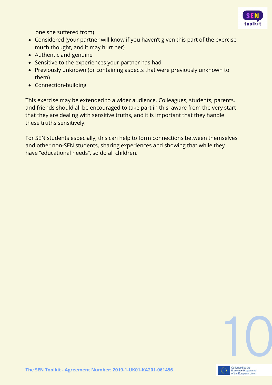

one she suffered from)

- Considered (your partner will know if you haven't given this part of the exercise much thought, and it may hurt her)
- Authentic and genuine
- Sensitive to the experiences your partner has had
- Previously unknown (or containing aspects that were previously unknown to them)
- Connection-building

This exercise may be extended to a wider audience. Colleagues, students, parents, and friends should all be encouraged to take part in this, aware from the very start that they are dealing with sensitive truths, and it is important that they handle these truths sensitively.

For SEN students especially, this can help to form connections between themselves and other non-SEN students, sharing experiences and showing that while they have "educational needs", so do all children.



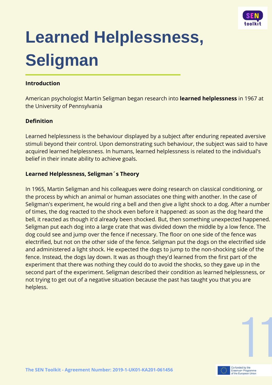

## **Learned Helplessness, Seligman**

#### **Introduction**

American psychologist Martin Seligman began research into **learned helplessness** in 1967 at the University of Pennsylvania

#### **Definition**

Learned helplessness is the behaviour displayed by a subject after enduring repeated aversive stimuli beyond their control. Upon demonstrating such behaviour, the subject was said to have acquired learned helplessness. In humans, learned helplessness is related to the individual's belief in their innate ability to achieve goals.

#### **Learned Helplessness, Seligman´s Theory**

In 1965, Martin Seligman and his colleagues were doing research on classical conditioning, or the process by which an animal or human associates one thing with another. In the case of Seligman's experiment, he would ring a bell and then give a light shock to a dog. After a number of times, the dog reacted to the shock even before it happened: as soon as the dog heard the bell, it reacted as though it'd already been shocked. But, then something unexpected happened. Seligman put each dog into a large crate that was divided down the middle by a low fence. The dog could see and jump over the fence if necessary. The floor on one side of the fence was electrified, but not on the other side of the fence. Seligman put the dogs on the electrified side and administered a light shock. He expected the dogs to jump to the non-shocking side of the fence. Instead, the dogs lay down. It was as though they'd learned from the first part of the experiment that there was nothing they could do to avoid the shocks, so they gave up in the second part of the experiment. Seligman described their condition as learned helplessness, or not trying to get out of a negative situation because the past has taught you that you are helpless.

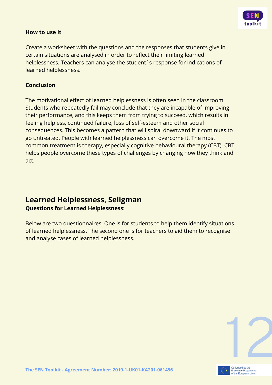

#### **How to use it**

Create a worksheet with the questions and the responses that students give in certain situations are analysed in order to reflect their limiting learned helplessness. Teachers can analyse the student´s response for indications of learned helplessness.

#### **Conclusion**

The motivational effect of learned helplessness is often seen in the classroom. Students who repeatedly fail may conclude that they are incapable of improving their performance, and this keeps them from trying to succeed, which results in feeling helpless, continued failure, loss of self-esteem and other social consequences. This becomes a pattern that will spiral downward if it continues to go untreated. People with learned helplessness can overcome it. The most common treatment is therapy, especially cognitive behavioural therapy (CBT). CBT helps people overcome these types of challenges by changing how they think and act.

#### **Learned Helplessness, Seligman Questions for Learned Helplessness:**

Below are two questionnaires. One is for students to help them identify situations of learned helplessness. The second one is for teachers to aid them to recognise and analyse cases of learned helplessness.



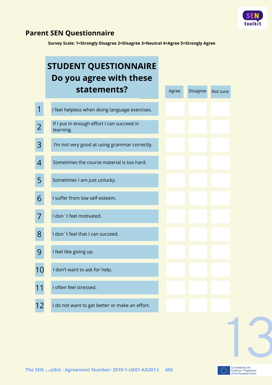

### **Parent SEN Questionnaire**

**Survey Scale: 1=Strongly Disagree 2=Disagree 3=Neutral 4=Agree 5=Strongly Agree**

### **STUDENT QUESTIONNAIRE Do you agree with these statements?**

|                | statements:                                             | Agree | Disagree | Not sure |
|----------------|---------------------------------------------------------|-------|----------|----------|
| 1              | I feel helpless when doing language exercises.          |       |          |          |
| $\overline{2}$ | If I put in enough effort I can succeed in<br>learning. |       |          |          |
| 3              | I'm not very good at using grammar correctly.           |       |          |          |
| $\overline{4}$ | Sometimes the course material is too hard.              |       |          |          |
| 5              | Sometimes I am just unlucky.                            |       |          |          |
| 6              | I suffer from low self-esteem.                          |       |          |          |
| 7              | I don't feel motivated.                                 |       |          |          |
| 8              | I don't feel that I can succeed.                        |       |          |          |
| 9              | I feel like giving up.                                  |       |          |          |
| 10             | I don't want to ask for help.                           |       |          |          |
| 11             | I often feel stressed.                                  |       |          |          |
| 12             | I do not want to get better or make an effort.          |       |          |          |
|                |                                                         |       |          |          |

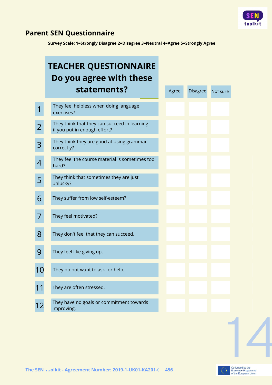

### **Parent SEN Questionnaire**

**Survey Scale: 1=Strongly Disagree 2=Disagree 3=Neutral 4=Agree 5=Strongly Agree**

### **TEACHER QUESTIONNAIRE Do you agree with these statements?**

|                | statements:                                                                  | Agree | Disagree | Not sure |
|----------------|------------------------------------------------------------------------------|-------|----------|----------|
|                | They feel helpless when doing language<br>exercises?                         |       |          |          |
| $\overline{2}$ | They think that they can succeed in learning<br>if you put in enough effort? |       |          |          |
| 3              | They think they are good at using grammar<br>correctly?                      |       |          |          |
| 4              | They feel the course material is sometimes too<br>hard?                      |       |          |          |
| 5              | They think that sometimes they are just<br>unlucky?                          |       |          |          |
| 6              | They suffer from low self-esteem?                                            |       |          |          |
| 7              | They feel motivated?                                                         |       |          |          |
| 8              | They don't feel that they can succeed.                                       |       |          |          |
| 9              | They feel like giving up.                                                    |       |          |          |
| 10             | They do not want to ask for help.                                            |       |          |          |
| 11             | They are often stressed.                                                     |       |          |          |
|                | They have no goals or commitment towards<br>improving.                       |       |          |          |
|                |                                                                              |       |          |          |

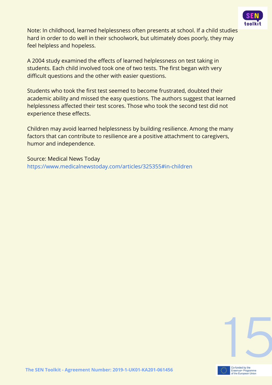

Note: In childhood, learned helplessness often presents at school. If a child studies hard in order to do well in their schoolwork, but ultimately does poorly, they may feel helpless and hopeless.

A 2004 study examined the effects of learned helplessness on test taking in students. Each child involved took one of two tests. The first began with very difficult questions and the other with easier questions.

Students who took the first test seemed to become frustrated, doubted their academic ability and missed the easy questions. The authors suggest that learned helplessness affected their test scores. Those who took the second test did not experience these effects.

Children may avoid learned helplessness by building resilience. Among the many factors that can contribute to resilience are a positive attachment to caregivers, humor and independence.

Source: Medical News Today <https://www.medicalnewstoday.com/articles/325355#in-children>



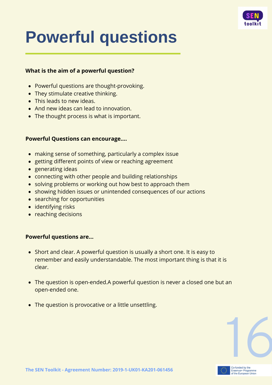

### **Powerful questions**

#### **What is the aim of a powerful question?**

- Powerful questions are thought-provoking.
- They stimulate creative thinking.
- This leads to new ideas.
- And new ideas can lead to innovation.
- The thought process is what is important.

#### **Powerful Questions can encourage….**

- making sense of something, particularly a complex issue
- getting different points of view or reaching agreement
- generating ideas
- connecting with other people and building relationships
- solving problems or working out how best to approach them
- showing hidden issues or unintended consequences of our actions
- searching for opportunities
- identifying risks
- reaching decisions

#### **Powerful questions are...**

- Short and clear. A powerful question is usually a short one. It is easy to remember and easily understandable. The most important thing is that it is clear.
- The question is open-ended.A powerful question is never a closed one but an open-ended one.
- The question is provocative or a little unsettling.



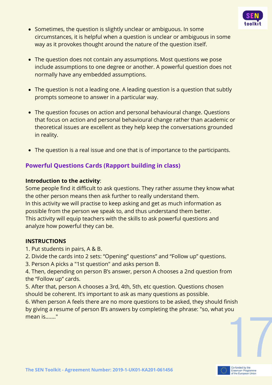

- Sometimes, the question is slightly unclear or ambiguous. In some circumstances, it is helpful when a question is unclear or ambiguous in some way as it provokes thought around the nature of the question itself.
- The question does not contain any assumptions. Most questions we pose include assumptions to one degree or another. A powerful question does not normally have any embedded assumptions.
- The question is not a leading one. A leading question is a question that subtly prompts someone to answer in a particular way.
- The question focuses on action and personal behavioural change. Questions that focus on action and personal behavioural change rather than academic or theoretical issues are excellent as they help keep the conversations grounded in reality.
- The question is a real issue and one that is of importance to the participants.

#### **Powerful Questions Cards (Rapport building in class)**

#### **Introduction to the activity**:

Some people find it difficult to ask questions. They rather assume they know what the other person means then ask further to really understand them. In this activity we will practise to keep asking and get as much information as possible from the person we speak to, and thus understand them better. This activity will equip teachers with the skills to ask powerful questions and analyze how powerful they can be.

#### **INSTRUCTIONS**

- 1. Put students in pairs, A & B.
- 2. Divide the cards into 2 sets: "Opening" questions" and "Follow up" questions.
- 3. Person A picks a "1st question" and asks person B.

4. Then, depending on person B's answer, person A chooses a 2nd question from the "Follow up" cards.

5. After that, person A chooses a 3rd, 4th, 5th, etc question. Questions chosen should be coherent. It's important to ask as many questions as possible.

6. When person A feels there are no more questions to be asked, they should finish by giving a resume of person B's answers by completing the phrase: "so, what you mean is......." 17 **The SEN Toolkit - Agreement Number: 2019-1-UK01-KA201-061456**

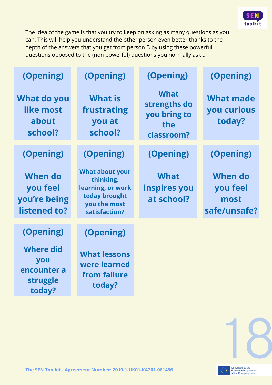

The idea of the game is that you try to keep on asking as many questions as you can. This will help you understand the other person even better thanks to the depth of the answers that you get from person B by using these powerful questions opposed to the (non powerful) questions you normally ask...

| (Opening)                                                    | (Opening)                                                                                                  | (Opening)                                                        | (Opening)                                   |
|--------------------------------------------------------------|------------------------------------------------------------------------------------------------------------|------------------------------------------------------------------|---------------------------------------------|
| What do you<br>like most<br>about<br>school?                 | <b>What is</b><br>frustrating<br>you at<br>school?                                                         | <b>What</b><br>strengths do<br>you bring to<br>the<br>classroom? | <b>What made</b><br>you curious<br>today?   |
| (Opening)                                                    | (Opening)                                                                                                  | (Opening)                                                        | (Opening)                                   |
| <b>When do</b><br>you feel<br>you're being<br>listened to?   | <b>What about your</b><br>thinking,<br>learning, or work<br>today brought<br>you the most<br>satisfaction? | <b>What</b><br>inspires you<br>at school?                        | When do<br>you feel<br>most<br>safe/unsafe? |
| (Opening)                                                    | (Opening)                                                                                                  |                                                                  |                                             |
| <b>Where did</b><br>you<br>encounter a<br>struggle<br>today? | <b>What lessons</b><br>were learned<br>from failure<br>today?                                              |                                                                  |                                             |



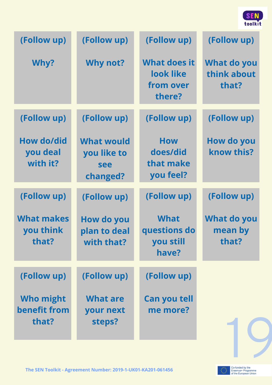

| (Follow up)                                      | (Follow up)                                         | (Follow up)                                                    | (Follow up)                                |
|--------------------------------------------------|-----------------------------------------------------|----------------------------------------------------------------|--------------------------------------------|
| Why?                                             | <b>Why not?</b>                                     | <b>What does it</b><br><b>look like</b><br>from over<br>there? | <b>What do you</b><br>think about<br>that? |
| (Follow up)                                      | (Follow up)                                         | (Follow up)                                                    | (Follow up)                                |
| <b>How do/did</b><br>you deal<br>with it?        | <b>What would</b><br>you like to<br>see<br>changed? | <b>How</b><br>does/did<br>that make<br>you feel?               | How do you<br>know this?                   |
| (Follow up)                                      | (Follow up)                                         | (Follow up)                                                    | (Follow up)                                |
| <b>What makes</b><br>you think<br>that?          | How do you<br>plan to deal<br>with that?            | <b>What</b><br>questions do<br>you still<br>have?              | <b>What do you</b><br>mean by<br>that?     |
| (Follow up)                                      | (Follow up)                                         | (Follow up)                                                    |                                            |
| <b>Who might</b><br><b>benefit from</b><br>that? | <b>What are</b><br>your next<br>steps?              | <b>Can you tell</b><br>me more?                                |                                            |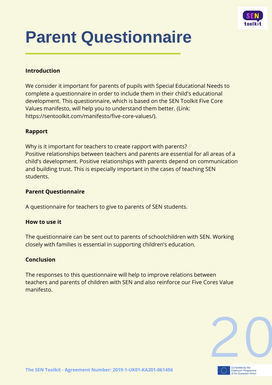

### **Parent Questionnaire**

#### **Introduction**

We consider it important for parents of pupils with Special Educational Needs to complete a questionnaire in order to include them in their child's educational development. This questionnaire, which is based on the SEN Toolkit Five Core Values manifesto, will help you to understand them better. (Link: https://sentoolkit.com/manifesto/five-core-values/).

#### **Rapport**

Why is it important for teachers to create rapport with parents? Positive relationships between teachers and parents are essential for all areas of a child's development. Positive relationships with parents depend on communication and building trust. This is especially important in the cases of teaching SEN students.

#### **Parent Questionnaire**

A questionnaire for teachers to give to parents of SEN students.

#### **How to use it**

The questionnaire can be sent out to parents of schoolchildren with SEN. Working closely with families is essential in supporting children's education.

#### **Conclusion**

The responses to this questionnaire will help to improve relations between teachers and parents of children with SEN and also reinforce our Five Cores Value manifesto.



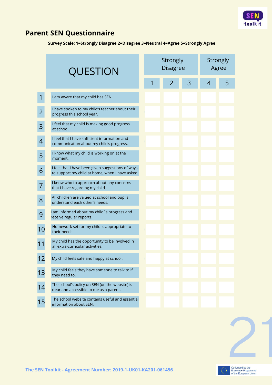

### **Parent SEN Questionnaire**

**Survey Scale: 1=Strongly Disagree 2=Disagree 3=Neutral 4=Agree 5=Strongly Agree**

|                | QUESTION                                                                                             |  | Strongly<br><b>Disagree</b> |  |   |   |  | Strongly<br>Agree |  |   |
|----------------|------------------------------------------------------------------------------------------------------|--|-----------------------------|--|---|---|--|-------------------|--|---|
|                |                                                                                                      |  | 1                           |  | 2 | 3 |  | 4                 |  | 5 |
| 1              | I am aware that my child has SEN.                                                                    |  |                             |  |   |   |  |                   |  |   |
| $\overline{2}$ | I have spoken to my child's teacher about their<br>progress this school year.                        |  |                             |  |   |   |  |                   |  |   |
| 3              | I feel that my child is making good progress<br>at school.                                           |  |                             |  |   |   |  |                   |  |   |
| 4              | I feel that I have sufficient information and<br>communication about my child's progress.            |  |                             |  |   |   |  |                   |  |   |
| 5              | I know what my child is working on at the<br>moment.                                                 |  |                             |  |   |   |  |                   |  |   |
| 6              | I feel that I have been given suggestions of ways<br>to support my child at home, when I have asked. |  |                             |  |   |   |  |                   |  |   |
| 7              | I know who to approach about any concerns<br>that I have regarding my child.                         |  |                             |  |   |   |  |                   |  |   |
| 8              | All children are valued at school and pupils<br>understand each other's needs.                       |  |                             |  |   |   |  |                   |  |   |
| 9              | I am informed about my child's progress and<br>receive regular reports.                              |  |                             |  |   |   |  |                   |  |   |
| 10             | Homework set for my child is appropriate to<br>their needs                                           |  |                             |  |   |   |  |                   |  |   |
|                | My child has the opportunity to be involved in<br>all extra-curricular activities.                   |  |                             |  |   |   |  |                   |  |   |
| 12             | My child feels safe and happy at school.                                                             |  |                             |  |   |   |  |                   |  |   |
| 13             | My child feels they have someone to talk to if<br>they need to.                                      |  |                             |  |   |   |  |                   |  |   |
| 14             | The school's policy on SEN (on the website) is<br>clear and accessible to me as a parent.            |  |                             |  |   |   |  |                   |  |   |
| 15             | The school website contains useful and essential<br>information about SEN.                           |  |                             |  |   |   |  |                   |  |   |

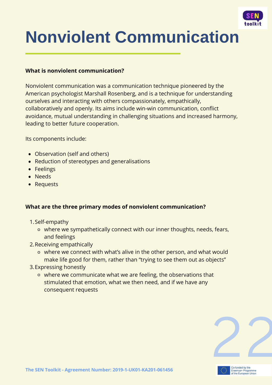

## **Nonviolent Communication**

#### **What is nonviolent communication?**

Nonviolent communication was a communication technique pioneered by the American psychologist Marshall Rosenberg, and is a technique for understanding ourselves and interacting with others compassionately, empathically, collaboratively and openly. Its aims include win-win communication, conflict avoidance, mutual understanding in challenging situations and increased harmony, leading to better future cooperation.

Its components include:

- Observation (self and others)
- Reduction of stereotypes and generalisations
- Feelings
- Needs
- Requests

#### **What are the three primary modes of nonviolent communication?**

- 1. Self-empathy
	- o where we sympathetically connect with our inner thoughts, needs, fears, and feelings
- 2. Receiving empathically
	- where we connect with what's alive in the other person, and what would make life good for them, rather than "trying to see them out as objects"
- 3. Expressing honestly
	- o where we communicate what we are feeling, the observations that stimulated that emotion, what we then need, and if we have any consequent requests



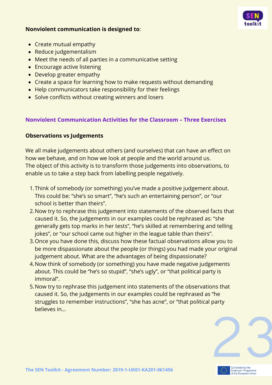

#### **Nonviolent communication is designed to**:

- Create mutual empathy
- Reduce judgementalism
- Meet the needs of all parties in a communicative setting
- Encourage active listening
- Develop greater empathy
- Create a space for learning how to make requests without demanding
- Help communicators take responsibility for their feelings
- Solve conflicts without creating winners and losers

#### **Nonviolent Communication Activities for the Classroom – Three Exercises**

#### **Observations vs Judgements**

We all make judgements about others (and ourselves) that can have an effect on how we behave, and on how we look at people and the world around us. The object of this activity is to transform those judgements into observations, to enable us to take a step back from labelling people negatively.

- Think of somebody (or something) you've made a positive judgement about. 1. This could be: "she's so smart", "he's such an entertaining person", or "our school is better than theirs".
- 2. Now try to rephrase this judgement into statements of the observed facts that caused it. So, the judgements in our examples could be rephrased as: "she generally gets top marks in her tests", "he's skilled at remembering and telling jokes", or "our school came out higher in the league table than theirs".
- 3. Once you have done this, discuss how these factual observations allow you to be more dispassionate about the people (or things) you had made your original judgement about. What are the advantages of being dispassionate?
- 4. Now think of somebody (or something) you have made negative judgements about. This could be "he's so stupid", "she's ugly", or "that political party is immoral".
- 5. Now try to rephrase this judgement into statements of the observations that caused it. So, the judgements in our examples could be rephrased as "he struggles to remember instructions", "she has acne", or "that political party believes in…



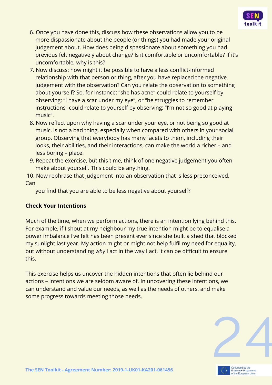

- 6. Once you have done this, discuss how these observations allow you to be more dispassionate about the people (or things) you had made your original judgement about. How does being dispassionate about something you had previous felt negatively about change? Is it comfortable or uncomfortable? If it's uncomfortable, why is this?
- 7. Now discuss: how might it be possible to have a less conflict-informed relationship with that person or thing, after you have replaced the negative judgement with the observation? Can you relate the observation to something about yourself? So, for instance: "she has acne" could relate to yourself by observing: "I have a scar under my eye", or "he struggles to remember instructions" could relate to yourself by observing: "I'm not so good at playing music".
- 8. Now reflect upon why having a scar under your eye, or not being so good at music, is not a bad thing, especially when compared with others in your social group. Observing that everybody has many facets to them, including their looks, their abilities, and their interactions, can make the world a richer – and less boring – place!
- 9. Repeat the exercise, but this time, think of one negative judgement you often make about yourself. This could be anything.

10. Now rephrase that judgement into an observation that is less preconceived. Can

you find that you are able to be less negative about yourself?

#### **Check Your Intentions**

Much of the time, when we perform actions, there is an intention lying behind this. For example, if I shout at my neighbour my true intention might be to equalise a power imbalance I've felt has been present ever since she built a shed that blocked my sunlight last year. My action might or might not help fulfil my need for equality, but without understanding *why* I act in the way I act, it can be difficult to ensure this.

This exercise helps us uncover the hidden intentions that often lie behind our actions – intentions we are seldom aware of. In uncovering these intentions, we can understand and value our needs, as well as the needs of others, and make some progress towards meeting those needs.



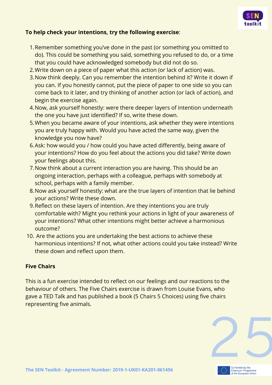

#### **To help check your intentions, try the following exercise**:

- 1.Remember something you've done in the past (or something you omitted to do). This could be something you said, something you refused to do, or a time that you could have acknowledged somebody but did not do so.
- 2. Write down on a piece of paper what this action (or lack of action) was.
- 3. Now think deeply. Can you remember the intention behind it? Write it down if you can. If you honestly cannot, put the piece of paper to one side so you can come back to it later, and try thinking of another action (or lack of action), and begin the exercise again.
- 4. Now, ask yourself honestly: were there deeper layers of intention underneath the one you have just identified? If so, write these down.
- 5. When you became aware of your intentions, ask whether they were intentions you are truly happy with. Would you have acted the same way, given the knowledge you now have?
- 6.Ask: how would you / how could you have acted differently, being aware of your intentions? How do you feel about the actions you did take? Write down your feelings about this.
- 7. Now think about a current interaction you are having. This should be an ongoing interaction, perhaps with a colleague, perhaps with somebody at school, perhaps with a family member.
- 8. Now ask yourself honestly: what are the true layers of intention that lie behind your actions? Write these down.
- 9. Reflect on these layers of intention. Are they intentions you are truly comfortable with? Might you rethink your actions in light of your awareness of your intentions? What other intentions might better achieve a harmonious outcome?
- Are the actions you are undertaking the best actions to achieve these 10. harmonious intentions? If not, what other actions could you take instead? Write these down and reflect upon them.

#### **Five Chairs**

This is a fun exercise intended to reflect on our feelings and our reactions to the behaviour of others. The Five Chairs exercise is drawn from Louise Evans, who gave a TED Talk and has published a book (5 Chairs 5 Choices) using five chairs representing five animals.



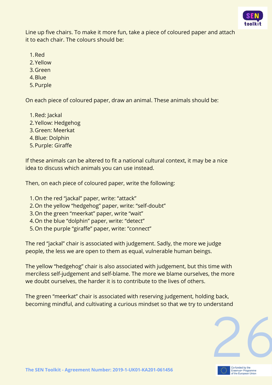

Line up five chairs. To make it more fun, take a piece of coloured paper and attach it to each chair. The colours should be:

- 1.Red
- 2.Yellow
- 3. Green
- 4. Blue
- 5. Purple

On each piece of coloured paper, draw an animal. These animals should be:

- 1.Red: Jackal
- 2. Yellow: Hedgehog
- 3. Green: Meerkat
- 4. Blue: Dolphin
- 5. Purple: Giraffe

If these animals can be altered to fit a national cultural context, it may be a nice idea to discuss which animals you can use instead.

Then, on each piece of coloured paper, write the following:

- 1. On the red "jackal" paper, write: "attack"
- 2.On the yellow "hedgehog" paper, write: "self-doubt"
- 3.On the green "meerkat" paper, write "wait"
- 4.On the blue "dolphin" paper, write: "detect"
- 5.On the purple "giraffe" paper, write: "connect"

The red "jackal" chair is associated with judgement. Sadly, the more we judge people, the less we are open to them as equal, vulnerable human beings.

The yellow "hedgehog" chair is also associated with judgement, but this time with merciless self-judgement and self-blame. The more we blame ourselves, the more we doubt ourselves, the harder it is to contribute to the lives of others.

The green "meerkat" chair is associated with reserving judgement, holding back, becoming mindful, and cultivating a curious mindset so that we try to understand



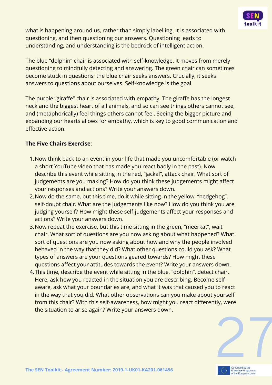

what is happening around us, rather than simply labelling. It is associated with questioning, and then questioning our answers. Questioning leads to understanding, and understanding is the bedrock of intelligent action.

The blue "dolphin" chair is associated with self-knowledge. It moves from merely questioning to mindfully detecting and answering. The green chair can sometimes become stuck in questions; the blue chair seeks answers. Crucially, it seeks answers to questions about ourselves. Self-knowledge is the goal.

The purple "giraffe" chair is associated with empathy. The giraffe has the longest neck and the biggest heart of all animals, and so can see things others cannot see, and (metaphorically) feel things others cannot feel. Seeing the bigger picture and expanding our hearts allows for empathy, which is key to good communication and effective action.

#### **The Five Chairs Exercise**:

- Now think back to an event in your life that made you uncomfortable (or watch 1. a short YouTube video that has made you react badly in the past). Now describe this event while sitting in the red, "jackal", attack chair. What sort of judgements are you making? How do you think these judgements might affect your responses and actions? Write your answers down.
- 2. Now do the same, but this time, do it while sitting in the yellow, "hedgehog", self-doubt chair. What are the judgements like now? How do you think you are judging yourself? How might these self-judgements affect your responses and actions? Write your answers down.
- 3. Now repeat the exercise, but this time sitting in the green, "meerkat", wait chair. What sort of questions are you now asking about what happened? What sort of questions are you now asking about how and why the people involved behaved in the way that they did? What other questions could you ask? What types of answers are your questions geared towards? How might these questions affect your attitudes towards the event? Write your answers down.
- This time, describe the event while sitting in the blue, "dolphin", detect chair. 4. Here, ask how you reacted in the situation you are describing. Become selfaware, ask what your boundaries are, and what it was that caused you to react in the way that you did. What other observations can you make about yourself from this chair? With this self-awareness, how might you react differently, were the situation to arise again? Write your answers down.



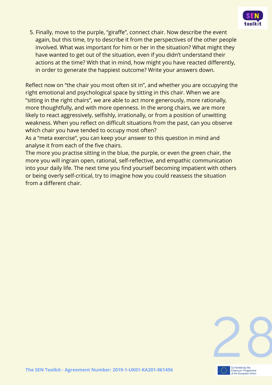

 5. Finally, move to the purple, "giraffe", connect chair. Now describe the event again, but this time, try to describe it from the perspectives of the other people involved. What was important for him or her in the situation? What might they have wanted to get out of the situation, even if you didn't understand their actions at the time? With that in mind, how might you have reacted differently, in order to generate the happiest outcome? Write your answers down.

Reflect now on "the chair you most often sit in", and whether you are occupying the right emotional and psychological space by sitting in this chair. When we are "sitting in the right chairs", we are able to act more generously, more rationally, more thoughtfully, and with more openness. In the wrong chairs, we are more likely to react aggressively, selfishly, irrationally, or from a position of unwitting weakness. When you reflect on difficult situations from the past, can you observe which chair you have tended to occupy most often?

As a "meta exercise", you can keep your answer to this question in mind and analyse it from each of the five chairs.

The more you practise sitting in the blue, the purple, or even the green chair, the more you will ingrain open, rational, self-reflective, and empathic communication into your daily life. The next time you find yourself becoming impatient with others or being overly self-critical, try to imagine how you could reassess the situation from a different chair.



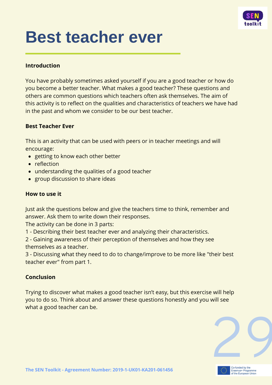

### **Best teacher ever**

#### **Introduction**

You have probably sometimes asked yourself if you are a good teacher or how do you become a better teacher. What makes a good teacher? These questions and others are common questions which teachers often ask themselves. The aim of this activity is to reflect on the qualities and characteristics of teachers we have had in the past and whom we consider to be our best teacher.

#### **Best Teacher Ever**

This is an activity that can be used with peers or in teacher meetings and will encourage:

- getting to know each other better
- reflection
- understanding the qualities of a good teacher
- group discussion to share ideas

#### **How to use it**

Just ask the questions below and give the teachers time to think, remember and answer. Ask them to write down their responses.

The activity can be done in 3 parts:

1 - Describing their best teacher ever and analyzing their characteristics.

2 - Gaining awareness of their perception of themselves and how they see themselves as a teacher.

3 - Discussing what they need to do to change/improve to be more like "their best teacher ever" from part 1.

#### **Conclusion**

Trying to discover what makes a good teacher isn't easy, but this exercise will help you to do so. Think about and answer these questions honestly and you will see what a good teacher can be.





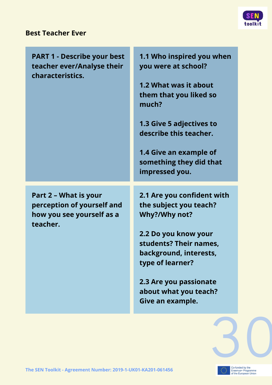

#### **Best Teacher Ever**

**PART 1 - Describe your best teacher ever/Analyse their characteristics.**

**1.1 Who inspired you when you were at school?**

**1.2 What was it about them that you liked so much?**

**1.3 Give 5 adjectives to describe this teacher.**

**1.4 Give an example of something they did that impressed you.**

**Part 2 – What is your perception of yourself and how you see yourself as a teacher.**

**2.1 Are you confident with the subject you teach? Why?/Why not?**

**2.2 Do you know your students? Their names, background, interests, type of learner?**

**2.3 Are you passionate about what you teach? Give an example.**



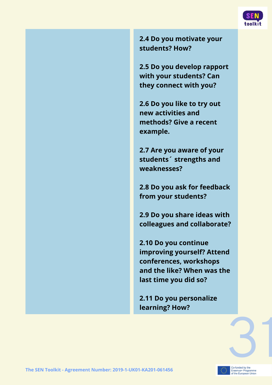

**2.4 Do you motivate your students? How?**

**2.5 Do you develop rapport with your students? Can they connect with you?**

**2.6 Do you like to try out new activities and methods? Give a recent example.**

**2.7 Are you aware of your students´ strengths and weaknesses?**

**2.8 Do you ask for feedback from your students?**

**2.9 Do you share ideas with colleagues and collaborate?**

**2.10 Do you continue improving yourself? Attend conferences, workshops and the like? When was the last time you did so?**

**2.11 Do you personalize learning? How?**



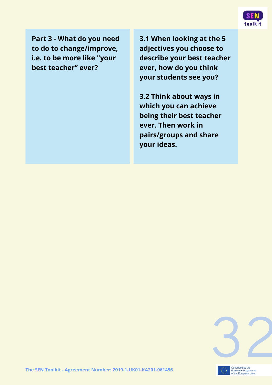

**Part 3 - What do you need to do to change/improve, i.e. to be more like "your best teacher" ever?**

**3.1 When looking at the 5 adjectives you choose to describe your best teacher ever, how do you think your students see you?**

**3.2 Think about ways in which you can achieve being their best teacher ever. Then work in pairs/groups and share your ideas.**



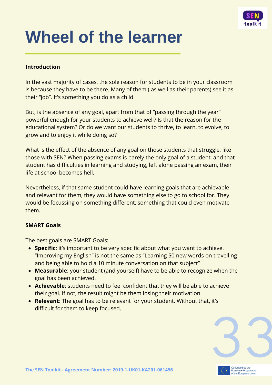

## **Wheel of the learner**

#### **Introduction**

In the vast majority of cases, the sole reason for students to be in your classroom is because they have to be there. Many of them ( as well as their parents) see it as their "job". It's something you do as a child.

But, is the absence of any goal, apart from that of "passing through the year" powerful enough for your students to achieve well? Is that the reason for the educational system? Or do we want our students to thrive, to learn, to evolve, to grow and to enjoy it while doing so?

What is the effect of the absence of any goal on those students that struggle, like those with SEN? When passing exams is barely the only goal of a student, and that student has difficulties in learning and studying, left alone passing an exam, their life at school becomes hell.

Nevertheless, if that same student could have learning goals that are achievable and relevant for them, they would have something else to go to school for. They would be focussing on something different, something that could even motivate them.

#### **SMART Goals**

The best goals are SMART Goals:

- **Specific**: it's important to be very specific about what you want to achieve. "Improving my English" is not the same as "Learning 50 new words on travelling and being able to hold a 10 minute conversation on that subject"
- **Measurable**: your student (and yourself) have to be able to recognize when the goal has been achieved.
- **Achievable**: students need to feel confident that they will be able to achieve their goal. If not, the result might be them losing their motivation.
- **Relevant**: The goal has to be relevant for your student. Without that, it's difficult for them to keep focused.



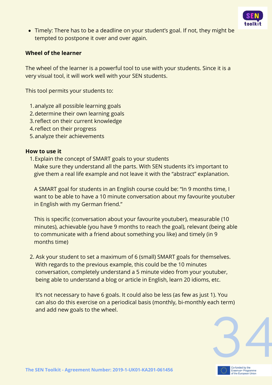

Timely: There has to be a deadline on your student's goal. If not, they might be tempted to postpone it over and over again.

#### **Wheel of the learner**

The wheel of the learner is a powerful tool to use with your students. Since it is a very visual tool, it will work well with your SEN students.

This tool permits your students to:

- 1.analyze all possible learning goals
- 2.determine their own learning goals
- 3.reflect on their current knowledge
- 4.reflect on their progress
- 5. analyze their achievements

#### **How to use it**

1. Explain the concept of SMART goals to your students

 Make sure they understand all the parts. With SEN students it's important to give them a real life example and not leave it with the "abstract" explanation.

 A SMART goal for students in an English course could be: "In 9 months time, I want to be able to have a 10 minute conversation about my favourite youtuber in English with my German friend."

 This is specific (conversation about your favourite youtuber), measurable (10 minutes), achievable (you have 9 months to reach the goal), relevant (being able to communicate with a friend about something you like) and timely (in 9 months time)

 2. Ask your student to set a maximum of 6 (small) SMART goals for themselves. With regards to the previous example, this could be the 10 minutes conversation, completely understand a 5 minute video from your youtuber, being able to understand a blog or article in English, learn 20 idioms, etc.

 It's not necessary to have 6 goals. It could also be less (as few as just 1). You can also do this exercise on a periodical basis (monthly, bi-monthly each term) and add new goals to the wheel.



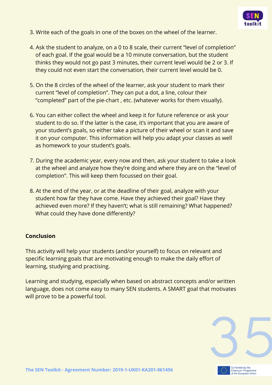

- 3. Write each of the goals in one of the boxes on the wheel of the learner.
- 4. Ask the student to analyze, on a 0 to 8 scale, their current "level of completion" of each goal. If the goal would be a 10 minute conversation, but the student thinks they would not go past 3 minutes, their current level would be 2 or 3. If they could not even start the conversation, their current level would be 0.
- 5. On the 8 circles of the wheel of the learner, ask your student to mark their current "level of completion". They can put a dot, a line, colour their "completed" part of the pie-chart , etc. (whatever works for them visually).
- 6. You can either collect the wheel and keep it for future reference or ask your student to do so. If the latter is the case, it's important that you are aware of your student's goals, so either take a picture of their wheel or scan it and save it on your computer. This information will help you adapt your classes as well as homework to your student's goals.
- 7. During the academic year, every now and then, ask your student to take a look at the wheel and analyze how they're doing and where they are on the "level of completion". This will keep them focussed on their goal.
- 8. At the end of the year, or at the deadline of their goal, analyze with your student how far they have come. Have they achieved their goal? Have they achieved even more? If they haven't; what is still remaining? What happened? What could they have done differently?

#### **Conclusion**

This activity will help your students (and/or yourself) to focus on relevant and specific learning goals that are motivating enough to make the daily effort of learning, studying and practising.

Learning and studying, especially when based on abstract concepts and/or written language, does not come easy to many SEN students. A SMART goal that motivates will prove to be a powerful tool.



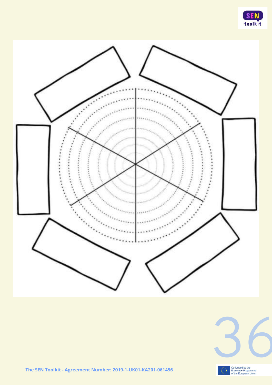





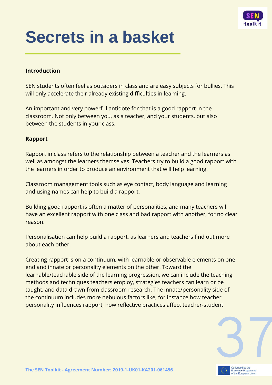

### **Secrets in a basket**

#### **Introduction**

SEN students often feel as outsiders in class and are easy subjects for bullies. This will only accelerate their already existing difficulties in learning.

An important and very powerful antidote for that is a good rapport in the classroom. Not only between you, as a teacher, and your students, but also between the students in your class.

#### **Rapport**

Rapport in class refers to the relationship between a teacher and the learners as well as amongst the learners themselves. Teachers try to build a good rapport with the learners in order to produce an environment that will help learning.

Classroom management tools such as eye contact, body language and learning and using names can help to build a rapport.

Building good rapport is often a matter of personalities, and many teachers will have an excellent rapport with one class and bad rapport with another, for no clear reason.

Personalisation can help build a rapport, as learners and teachers find out more about each other.

Creating rapport is on a continuum, with learnable or observable elements on one end and innate or personality elements on the other. Toward the learnable/teachable side of the learning progression, we can include the teaching methods and techniques teachers employ, strategies teachers can learn or be taught, and data drawn from classroom research. The innate/personality side of the continuum includes more nebulous factors like, for instance how teacher personality influences rapport, how reflective practices affect teacher-student



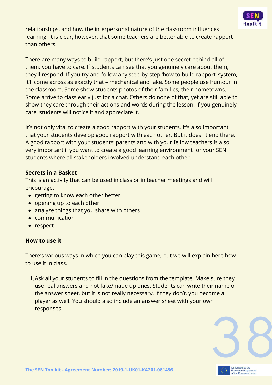

relationships, and how the interpersonal nature of the classroom influences learning. It is clear, however, that some teachers are better able to create rapport than others.

There are many ways to build rapport, but there's just one secret behind all of them: you have to care. If students can see that you genuinely care about them, they'll respond. If you try and follow any step-by-step 'how to build rapport' system, it'll come across as exactly that – mechanical and fake. Some people use humour in the classroom. Some show students photos of their families, their hometowns. Some arrive to class early just for a chat. Others do none of that, yet are still able to show they care through their actions and words during the lesson. If you genuinely care, students will notice it and appreciate it.

It's not only vital to create a good rapport with your students. It's also important that your students develop good rapport with each other. But it doesn't end there. A good rapport with your students' parents and with your fellow teachers is also very important if you want to create a good learning environment for your SEN students where all stakeholders involved understand each other.

#### **Secrets in a Basket**

This is an activity that can be used in class or in teacher meetings and will encourage:

- getting to know each other better
- opening up to each other
- analyze things that you share with others
- communication
- respect

#### **How to use it**

There's various ways in which you can play this game, but we will explain here how to use it in class.

Ask all your students to fill in the questions from the template. Make sure they 1. use real answers and not fake/made up ones. Students can write their name on the answer sheet, but it is not really necessary. If they don't, you become a player as well. You should also include an answer sheet with your own responses.



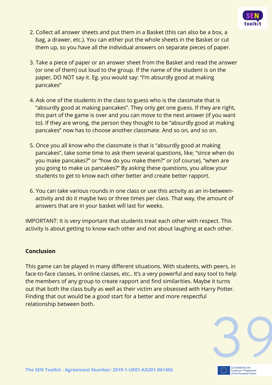

- 2. Collect all answer sheets and put them in a Basket (this can also be a box, a bag, a drawer, etc.). You can either put the whole sheets in the Basket or cut them up, so you have all the individual answers on separate pieces of paper.
- 3. Take a piece of paper or an answer sheet from the Basket and read the answer (or one of them) out loud to the group. If the name of the student is on the paper, DO NOT say it. Eg. you would say: "I'm absurdly good at making pancakes"
- 4. Ask one of the students in the class to guess who is the classmate that is "absurdly good at making pancakes". They only get one guess. If they are right, this part of the game is over and you can move to the next answer (if you want to). If they are wrong, the person they thought to be "absurdly good at making pancakes" now has to choose another classmate. And so on, and so on.
- 5. Once you all know who the classmate is that is "absurdly good at making pancakes", take some time to ask them several questions, like; "since when do you make pancakes?" or "how do you make them?" or (of course), "when are you going to make us pancakes?" By asking these questions, you allow your students to get to know each other better and create better rapport.
- 6. You can take various rounds in one class or use this activity as an in-between activity and do it maybe two or three times per class. That way, the amount of answers that are in your basket will last for weeks.

IMPORTANT: It is very important that students treat each other with respect. This activity is about getting to know each other and not about laughing at each other.

#### **Conclusion**

This game can be played in many different situations. With students, with peers, in face-to-face classes, in online classes, etc.. It's a very powerful and easy tool to help the members of any group to create rapport and find similarities. Maybe it turns out that both the class bully as well as their victim are obsessed with Harry Potter. Finding that out would be a good start for a better and more respectful relationship between both.



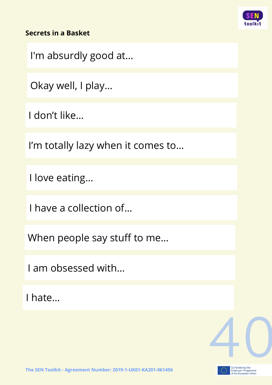

**Secrets in a Basket**

I'm absurdly good at…

Okay well, I play…

I don't like…

I'm totally lazy when it comes to…

I love eating…

I have a collection of…

When people say stuff to me…

I am obsessed with…

I hate…



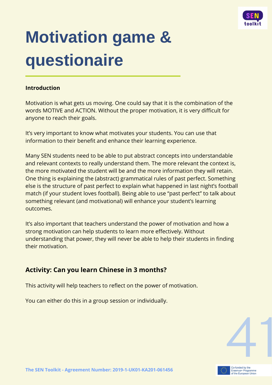

## **Motivation game & questionaire**

#### **Introduction**

Motivation is what gets us moving. One could say that it is the combination of the words MOTIVE and ACTION. Without the proper motivation, it is very difficult for anyone to reach their goals.

It's very important to know what motivates your students. You can use that information to their benefit and enhance their learning experience.

Many SEN students need to be able to put abstract concepts into understandable and relevant contexts to really understand them. The more relevant the context is, the more motivated the student will be and the more information they will retain. One thing is explaining the (abstract) grammatical rules of past perfect. Something else is the structure of past perfect to explain what happened in last night's football match (if your student loves football). Being able to use "past perfect" to talk about something relevant (and motivational) will enhance your student's learning outcomes.

It's also important that teachers understand the power of motivation and how a strong motivation can help students to learn more effectively. Without understanding that power, they will never be able to help their students in finding their motivation.

#### **Activity: Can you learn Chinese in 3 months?**

This activity will help teachers to reflect on the power of motivation.

You can either do this in a group session or individually.



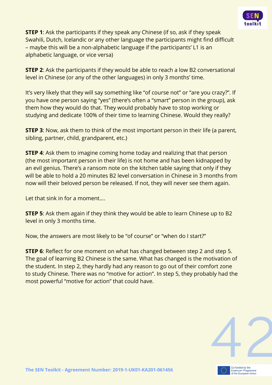

**STEP 1**: Ask the participants if they speak any Chinese (if so, ask if they speak Swahili, Dutch, Icelandic or any other language the participants might find difficult – maybe this will be a non-alphabetic language if the participants' L1 is an alphabetic language, or vice versa)

**STEP 2:** Ask the participants if they would be able to reach a low B2 conversational level in Chinese (or any of the other languages) in only 3 months' time.

It's very likely that they will say something like "of course not" or "are you crazy?". If you have one person saying "yes" (there's often a "smart" person in the group), ask them how they would do that. They would probably have to stop working or studying and dedicate 100% of their time to learning Chinese. Would they really?

**STEP 3**: Now, ask them to think of the most important person in their life (a parent, sibling, partner, child, grandparent, etc.)

**STEP 4:** Ask them to imagine coming home today and realizing that that person (the most important person in their life) is not home and has been kidnapped by an evil genius. There's a ransom note on the kitchen table saying that only if they will be able to hold a 20 minutes B2 level conversation in Chinese in 3 months from now will their beloved person be released. If not, they will never see them again.

Let that sink in for a moment….

**STEP 5**: Ask them again if they think they would be able to learn Chinese up to B2 level in only 3 months time.

Now, the answers are most likely to be "of course" or "when do I start?"

**STEP 6**: Reflect for one moment on what has changed between step 2 and step 5. The goal of learning B2 Chinese is the same. What has changed is the motivation of the student. In step 2, they hardly had any reason to go out of their comfort zone to study Chinese. There was no "motive for action". In step 5, they probably had the most powerful "motive for action" that could have.



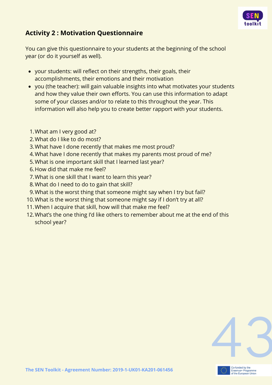

### **Activity 2 : Motivation Questionnaire**

You can give this questionnaire to your students at the beginning of the school year (or do it yourself as well).

- your students: will reflect on their strengths, their goals, their accomplishments, their emotions and their motivation
- you (the teacher): will gain valuable insights into what motivates your students and how they value their own efforts. You can use this information to adapt some of your classes and/or to relate to this throughout the year. This information will also help you to create better rapport with your students.
- What am I very good at? 1.
- What do I like to do most? 2.
- 3. What have I done recently that makes me most proud?
- 4. What have I done recently that makes my parents most proud of me?
- What is one important skill that I learned last year? 5.
- 6.How did that make me feel?
- What is one skill that I want to learn this year? 7.
- What do I need to do to gain that skill? 8.
- 9. What is the worst thing that someone might say when I try but fail?
- 10. What is the worst thing that someone might say if I don't try at all?
- 11. When I acquire that skill, how will that make me feel?
- 12. What's the one thing I'd like others to remember about me at the end of this school year?



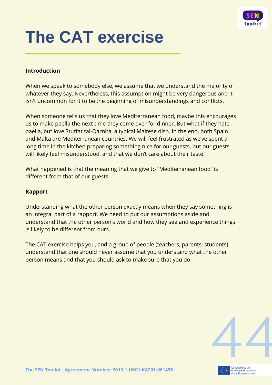

### **The CAT exercise**

#### **Introduction**

When we speak to somebody else, we assume that we understand the majority of whatever they say. Nevertheless, this assumption might be very dangerous and it isn't uncommon for it to be the beginning of misunderstandings and conflicts.

When someone tells us that they love Mediterranean food, maybe this encourages us to make paella the next time they come over for dinner. But what if they hate paella, but love Stuffat tal-Qarnita, a typical Maltese dish. In the end, both Spain and Malta are Mediterranean countries. We will feel frustrated as we've spent a long time in the kitchen preparing something nice for our guests, but our guests will likely feel misunderstood, and that we don't care about their taste.

What happened is that the meaning that we give to "Mediterranean food" is different from that of our guests.

#### **Rapport**

Understanding what the other person exactly means when they say something is an integral part of a rapport. We need to put our assumptions aside and understand that the other person's world and how they see and experience things is likely to be different from ours.

The CAT exercise helps you, and a group of people (teachers, parents, students) understand that one should never assume that you understand what the other person means and that you should ask to make sure that you do.

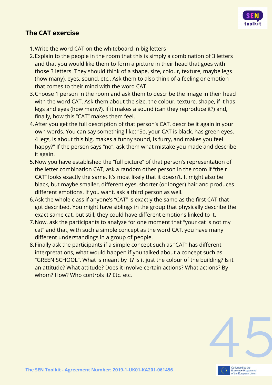

### **The CAT exercise**

- Write the word CAT on the whiteboard in big letters 1.
- Explain to the people in the room that this is simply a combination of 3 letters 2. and that you would like them to form a picture in their head that goes with those 3 letters. They should think of a shape, size, colour, texture, maybe legs (how many), eyes, sound, etc.. Ask them to also think of a feeling or emotion that comes to their mind with the word CAT.
- 3. Choose 1 person in the room and ask them to describe the image in their head with the word CAT. Ask them about the size, the colour, texture, shape, if it has legs and eyes (how many?), if it makes a sound (can they reproduce it?) and, finally, how this "CAT" makes them feel.
- After you get the full description of that person's CAT, describe it again in your 4. own words. You can say something like: "So, your CAT is black, has green eyes, 4 legs, is about this big, makes a funny sound, is furry, and makes you feel happy?" If the person says "no", ask them what mistake you made and describe it again.
- 5. Now you have established the "full picture" of that person's representation of the letter combination CAT, ask a random other person in the room if "their CAT" looks exactly the same. It's most likely that it doesn't. It might also be black, but maybe smaller, different eyes, shorter (or longer) hair and produces different emotions. If you want, ask a third person as well.
- 6.Ask the whole class if anyone's "CAT" is exactly the same as the first CAT that got described. You might have siblings in the group that physically describe the exact same cat, but still, they could have different emotions linked to it.
- 7. Now, ask the participants to analyze for one moment that "your cat is not my cat" and that, with such a simple concept as the word CAT, you have many different understandings in a group of people.
- 8. Finally ask the participants if a simple concept such as "CAT" has different interpretations, what would happen if you talked about a concept such as "GREEN SCHOOL". What is meant by it? Is it just the colour of the building? Is it an attitude? What attitude? Does it involve certain actions? What actions? By whom? How? Who controls it? Etc. etc.



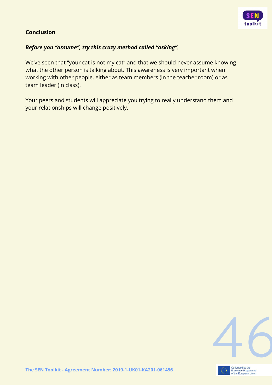

#### **Conclusion**

#### *Before you "assume", try this crazy method called "asking".*

We've seen that "your cat is not my cat" and that we should never assume knowing what the other person is talking about. This awareness is very important when working with other people, either as team members (in the teacher room) or as team leader (in class).

Your peers and students will appreciate you trying to really understand them and your relationships will change positively.